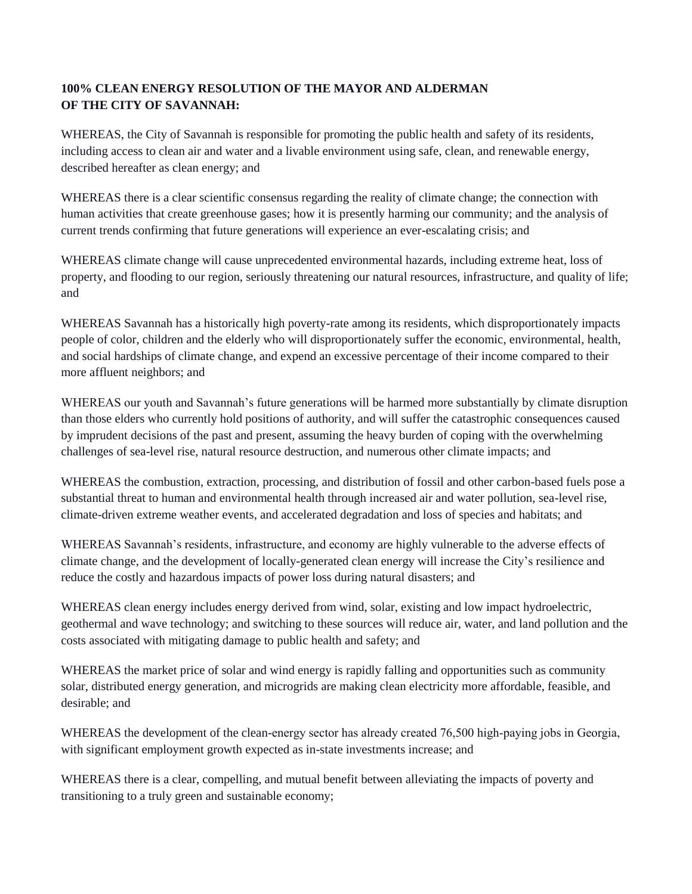## **100% CLEAN ENERGY RESOLUTION OF THE MAYOR AND ALDERMAN OF THE CITY OF SAVANNAH:**

WHEREAS, the City of Savannah is responsible for promoting the public health and safety of its residents, including access to clean air and water and a livable environment using safe, clean, and renewable energy, described hereafter as clean energy; and

WHEREAS there is a clear scientific consensus regarding the reality of climate change; the connection with human activities that create greenhouse gases; how it is presently harming our community; and the analysis of current trends confirming that future generations will experience an ever-escalating crisis; and

WHEREAS climate change will cause unprecedented environmental hazards, including extreme heat, loss of property, and flooding to our region, seriously threatening our natural resources, infrastructure, and quality of life; and

WHEREAS Savannah has a historically high poverty-rate among its residents, which disproportionately impacts people of color, children and the elderly who will disproportionately suffer the economic, environmental, health, and social hardships of climate change, and expend an excessive percentage of their income compared to their more affluent neighbors; and

WHEREAS our youth and Savannah's future generations will be harmed more substantially by climate disruption than those elders who currently hold positions of authority, and will suffer the catastrophic consequences caused by imprudent decisions of the past and present, assuming the heavy burden of coping with the overwhelming challenges of sea-level rise, natural resource destruction, and numerous other climate impacts; and

WHEREAS the combustion, extraction, processing, and distribution of fossil and other carbon-based fuels pose a substantial threat to human and environmental health through increased air and water pollution, sea-level rise, climate-driven extreme weather events, and accelerated degradation and loss of species and habitats; and

WHEREAS Savannah's residents, infrastructure, and economy are highly vulnerable to the adverse effects of climate change, and the development of locally-generated clean energy will increase the City's resilience and reduce the costly and hazardous impacts of power loss during natural disasters; and

WHEREAS clean energy includes energy derived from wind, solar, existing and low impact hydroelectric, geothermal and wave technology; and switching to these sources will reduce air, water, and land pollution and the costs associated with mitigating damage to public health and safety; and

WHEREAS the market price of solar and wind energy is rapidly falling and opportunities such as community solar, distributed energy generation, and microgrids are making clean electricity more affordable, feasible, and desirable; and

WHEREAS the development of the clean-energy sector has already created 76,500 high-paying jobs in Georgia, with significant employment growth expected as in-state investments increase; and

WHEREAS there is a clear, compelling, and mutual benefit between alleviating the impacts of poverty and transitioning to a truly green and sustainable economy;